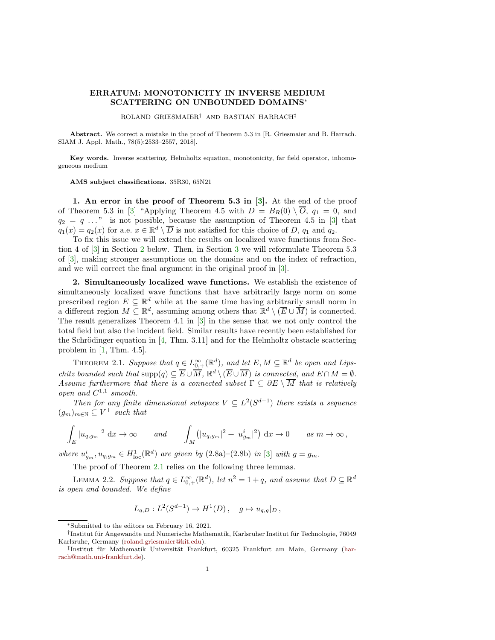## ERRATUM: MONOTONICITY IN INVERSE MEDIUM SCATTERING ON UNBOUNDED DOMAINS<sup>∗</sup>

ROLAND GRIESMAIER† AND BASTIAN HARRACH‡

Abstract. We correct a mistake in the proof of Theorem 5.3 in [R. Griesmaier and B. Harrach. SIAM J. Appl. Math., 78(5):2533–2557, 2018].

Key words. Inverse scattering, Helmholtz equation, monotonicity, far field operator, inhomogeneous medium

AMS subject classifications. 35R30, 65N21

1. An error in the proof of Theorem 5.3 in  $[3]$ . At the end of the proof of Theorem 5.3 in [\[3\]](#page-5-0) "Applying Theorem 4.5 with  $D = B_R(0) \setminus \overline{O}$ ,  $q_1 = 0$ , and  $q_2 = q \ldots$ " is not possible, because the assumption of Theorem 4.5 in [\[3\]](#page-5-0) that  $q_1(x) = q_2(x)$  for a.e.  $x \in \mathbb{R}^d \setminus \overline{D}$  is not satisfied for this choice of D,  $q_1$  and  $q_2$ .

To fix this issue we will extend the results on localized wave functions from Section 4 of [\[3\]](#page-5-0) in Section [2](#page-0-0) below. Then, in Section [3](#page-3-0) we will reformulate Theorem 5.3 of [\[3\]](#page-5-0), making stronger assumptions on the domains and on the index of refraction, and we will correct the final argument in the original proof in [\[3\]](#page-5-0).

<span id="page-0-0"></span>2. Simultaneously localized wave functions. We establish the existence of simultaneously localized wave functions that have arbitrarily large norm on some prescribed region  $E \subseteq \mathbb{R}^d$  while at the same time having arbitrarily small norm in a different region  $M \subseteq \mathbb{R}^d$ , assuming among others that  $\mathbb{R}^d \setminus (\overline{E} \cup \overline{M})$  is connected. The result generalizes Theorem 4.1 in [\[3\]](#page-5-0) in the sense that we not only control the total field but also the incident field. Similar results have recently been established for the Schrödinger equation in  $[4, Thm. 3.11]$  and for the Helmholtz obstacle scattering problem in  $[1, Thm. 4.5]$ .

<span id="page-0-1"></span>THEOREM 2.1. Suppose that  $q \in L^{\infty}_{0,+}(\mathbb{R}^d)$ , and let  $E, M \subseteq \mathbb{R}^d$  be open and Lipschitz bounded such that  $\text{supp}(q) \subseteq \overline{E} \cup \overline{M}$ ,  $\mathbb{R}^d \setminus (\overline{E} \cup \overline{M})$  is connected, and  $E \cap M = \emptyset$ . Assume furthermore that there is a connected subset  $\Gamma \subseteq \partial E \setminus \overline{M}$  that is relatively open and  $C^{1,1}$  smooth.

Then for any finite dimensional subspace  $V \subseteq L^2(S^{d-1})$  there exists a sequence  $(g_m)_{m \in \mathbb{N}} \subseteq V^{\perp}$  such that

$$
\int_E |u_{q,g_m}|^2 \, \mathrm{d}x \to \infty \qquad \text{and} \qquad \int_M (|u_{q,g_m}|^2 + |u_{g_m}^i|^2) \, \mathrm{d}x \to 0 \qquad \text{as } m \to \infty \,,
$$

where  $u_{g_m}^i, u_{q,g_m} \in H_{loc}^1(\mathbb{R}^d)$  are given by  $(2.8a)-(2.8b)$  in [\[3\]](#page-5-0) with  $g = g_m$ .

The proof of Theorem [2.1](#page-0-1) relies on the following three lemmas.

<span id="page-0-2"></span>LEMMA 2.2. Suppose that  $q \in L^{\infty}_{0,+}(\mathbb{R}^d)$ , let  $n^2 = 1 + q$ , and assume that  $D \subseteq \mathbb{R}^d$ is open and bounded. We define

$$
L_{q,D}: L^2(S^{d-1}) \to H^1(D), \quad g \mapsto u_{q,g}|_D,
$$

<sup>∗</sup>Submitted to the editors on February 16, 2021.

<sup>&</sup>lt;sup>†</sup> Institut für Angewandte und Numerische Mathematik, Karlsruher Institut für Technologie, 76049 Karlsruhe, Germany [\(roland.griesmaier@kit.edu\)](mailto:roland.griesmaier@kit.edu).

<sup>&</sup>lt;sup>‡</sup>Institut für Mathematik Universität Frankfurt, 60325 Frankfurt am Main, Germany (harrach@math.uni-frankfurt.de).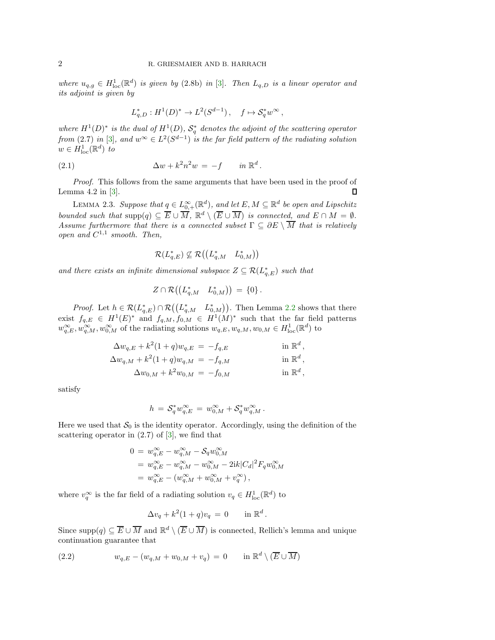where  $u_{q,g} \in H^1_{loc}(\mathbb{R}^d)$  is given by (2.8b) in [\[3\]](#page-5-0). Then  $L_{q,D}$  is a linear operator and its adjoint is given by

$$
L_{q,D}^* : H^1(D)^* \to L^2(S^{d-1}), \quad f \mapsto \mathcal{S}_q^* w^{\infty},
$$

where  $H^1(D)^*$  is the dual of  $H^1(D)$ ,  $S^*_q$  denotes the adjoint of the scattering operator from (2.7) in [\[3\]](#page-5-0), and  $w^{\infty} \in L^2(S^{d-1})$  is the far field pattern of the radiating solution  $w \in H^1_{\text{loc}}(\mathbb{R}^d)$  to

(2.1) 
$$
\Delta w + k^2 n^2 w = -f \quad in \mathbb{R}^d.
$$

Proof. This follows from the same arguments that have been used in the proof of Lemma  $4.2$  in  $\lfloor 3 \rfloor$ .  $\Box$ 

<span id="page-1-1"></span>LEMMA 2.3. Suppose that  $q \in L^{\infty}_{0,+}(\mathbb{R}^d)$ , and let  $E, M \subseteq \mathbb{R}^d$  be open and Lipschitz bounded such that  $\text{supp}(q) \subseteq \overline{E} \cup \overline{M}$ ,  $\mathbb{R}^d \setminus (\overline{E} \cup \overline{M})$  is connected, and  $E \cap M = \emptyset$ . Assume furthermore that there is a connected subset  $\Gamma \subseteq \partial E \setminus \overline{M}$  that is relatively open and  $C^{1,1}$  smooth. Then,

$$
\mathcal{R}(L_{q,E}^*) \not\subseteq \mathcal{R}\big(\big(L_{q,M}^* \quad L_{0,M}^*\big)\big)
$$

and there exists an infinite dimensional subspace  $Z \subseteq \mathcal{R}(L_{q,E}^*)$  such that

$$
Z \cap \mathcal{R} \big( \big( L_{q,M}^* \quad L_{0,M}^* \big) \big) \, = \, \{0\} \, .
$$

*Proof.* Let  $h \in \mathcal{R}(L_{q,E}^*) \cap \mathcal{R}((L_{q,M}^* - L_{0,M}^*))$ . Then Lemma [2.2](#page-0-2) shows that there exist  $f_{q,E} \in H^1(E)^*$  and  $f_{q,M}, f_{0,M} \in H^1(M)^*$  such that the far field patterns  $w_{q,E}^{\infty}, w_{q,M}^{\infty}, w_{0,M}^{\infty}$  of the radiating solutions  $w_{q,E}, w_{q,M}, w_{0,M} \in H^1_{loc}(\mathbb{R}^d)$  to

$$
\Delta w_{q,E} + k^2 (1+q) w_{q,E} = -f_{q,E} \qquad \text{in } \mathbb{R}^d
$$

$$
\Delta w_{q,M} + k^2 (1+q) w_{q,M} = -f_{q,M} \qquad \text{in } \mathbb{R}^d,
$$

$$
\Delta w_{0,M} + k^2 w_{0,M} = -f_{0,M} \quad \text{in } \mathbb{R}^d,
$$

,

satisfy

$$
h\,=\,\mathcal{S}_q^*w_{q,E}^\infty\,=\,w_{0,M}^\infty+\mathcal{S}_q^*w_{q,M}^\infty\,.
$$

Here we used that  $S_0$  is the identity operator. Accordingly, using the definition of the scattering operator in  $(2.7)$  of  $[3]$ , we find that

$$
0 = w_{q,E}^{\infty} - w_{q,M}^{\infty} - S_q w_{0,M}^{\infty}
$$
  
=  $w_{q,E}^{\infty} - w_{q,M}^{\infty} - w_{0,M}^{\infty} - 2ik|C_d|^2 F_q w_{0,M}^{\infty}$   
=  $w_{q,E}^{\infty} - (w_{q,M}^{\infty} + w_{0,M}^{\infty} + v_q^{\infty}),$ 

where  $v_q^{\infty}$  is the far field of a radiating solution  $v_q \in H^1_{loc}(\mathbb{R}^d)$  to

<span id="page-1-0"></span>
$$
\Delta v_q + k^2 (1+q) v_q = 0 \quad \text{in } \mathbb{R}^d.
$$

Since supp $(q) \subseteq \overline{E} \cup \overline{M}$  and  $\mathbb{R}^d \setminus (\overline{E} \cup \overline{M})$  is connected, Rellich's lemma and unique continuation guarantee that

(2.2) 
$$
w_{q,E} - (w_{q,M} + w_{0,M} + v_q) = 0 \quad \text{in } \mathbb{R}^d \setminus (\overline{E} \cup \overline{M})
$$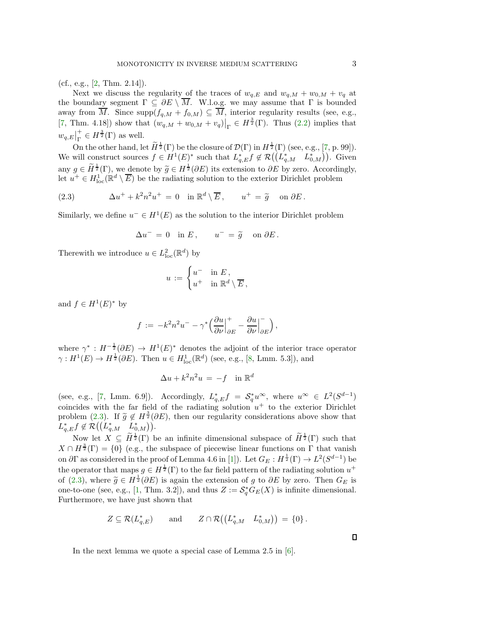$(cf., e.g., [2, Thm. 2.14]).$  $(cf., e.g., [2, Thm. 2.14]).$  $(cf., e.g., [2, Thm. 2.14]).$ 

Next we discuss the regularity of the traces of  $w_{q,E}$  and  $w_{q,M} + w_{0,M} + v_q$  at the boundary segment  $\Gamma \subseteq \partial E \setminus \overline{M}$ . W.l.o.g. we may assume that  $\Gamma$  is bounded away from M. Since  $\text{supp}(f_{q,M} + f_{0,M}) \subseteq M$ , interior regularity results (see, e.g., [\[7,](#page-5-4) Thm. 4.18]) show that  $(w_{q,M} + w_{0,M} + v_q)|_{\Gamma} \in H^{\frac{3}{2}}(\Gamma)$ . Thus [\(2.2\)](#page-1-0) implies that  $w_{q,E}\big|^+_{\Gamma}$  $_{\Gamma}^+ \in H^{\frac{3}{2}}(\Gamma)$  as well.

On the other hand, let  $\widetilde{H}^{\frac{1}{2}}(\Gamma)$  be the closure of  $\mathcal{D}(\Gamma)$  in  $H^{\frac{1}{2}}(\Gamma)$  (see, e.g., [\[7,](#page-5-4) p. 99]). We will construct sources  $f \in H^1(E)^*$  such that  $L_{q,E}^* f \notin \mathcal{R}((L_{q,M}^* - L_{0,M}^*))$ . Given any  $g \in \widetilde{H}^{\frac{1}{2}}(\Gamma)$ , we denote by  $\widetilde{g} \in H^{\frac{1}{2}}(\partial E)$  its extension to  $\partial E$  by zero. Accordingly, let  $u^+ \in H^1_{loc}(\mathbb{R}^d \setminus \overline{E})$  be the radiating solution to the exterior Dirichlet problem

(2.3) 
$$
\Delta u^+ + k^2 n^2 u^+ = 0 \quad \text{in } \mathbb{R}^d \setminus \overline{E}, \qquad u^+ = \widetilde{g} \quad \text{on } \partial E.
$$

Similarly, we define  $u^- \in H^1(E)$  as the solution to the interior Dirichlet problem

<span id="page-2-0"></span>
$$
\Delta u^- = 0 \quad \text{in } E \,, \qquad u^- = \tilde{g} \quad \text{on } \partial E \,.
$$

Therewith we introduce  $u \in L^2_{\text{loc}}(\mathbb{R}^d)$  by

$$
u\,:=\,\begin{cases} u^- &\text{in }E\,,\\ u^+ &\text{in }\mathbb{R}^d\setminus\overline{E}\,,\end{cases}
$$

and  $f \in H^1(E)^*$  by

$$
f := -k^2 n^2 u^- - \gamma^* \Big( \frac{\partial u}{\partial \nu} \Big|_{\partial E}^+ - \frac{\partial u}{\partial \nu} \Big|_{\partial E}^- \Big),
$$

where  $\gamma^* : H^{-\frac{1}{2}}(\partial E) \to H^1(E)^*$  denotes the adjoint of the interior trace operator  $\gamma: H^1(E) \to H^{\frac{1}{2}}(\partial E)$ . Then  $u \in H^1_{loc}(\mathbb{R}^d)$  (see, e.g., [\[8,](#page-5-5) Lmm. 5.3]), and

$$
\Delta u + k^2 n^2 u = -f \quad \text{in } \mathbb{R}^d
$$

(see, e.g., [\[7,](#page-5-4) Lmm. 6.9]). Accordingly,  $L_{q,E}^* f = S_q^* u^\infty$ , where  $u^\infty \in L^2(S^{d-1})$ coincides with the far field of the radiating solution  $u^+$  to the exterior Dirichlet problem [\(2.3\)](#page-2-0). If  $\tilde{g} \notin H^{\frac{3}{2}}(\partial E)$ , then our regularity considerations above show that  $L_{q,E}^* f \notin \mathcal{R}((L_{q,M}^* \quad L_{0,M}^*)).$ 

Now let  $X \subseteq \widetilde{H}^{\frac{1}{2}}(\Gamma)$  be an infinite dimensional subspace of  $\widetilde{H}^{\frac{1}{2}}(\Gamma)$  such that  $X \cap H^{\frac{3}{2}}(\Gamma) = \{0\}$  (e.g., the subspace of piecewise linear functions on  $\Gamma$  that vanish on  $\partial \Gamma$  as considered in the proof of Lemma 4.6 in [\[1\]](#page-5-2)). Let  $G_E : H^{\frac{1}{2}}(\Gamma) \to L^2(S^{d-1})$  be the operator that maps  $g \in H^{\frac{1}{2}}(\Gamma)$  to the far field pattern of the radiating solution  $u^+$ of [\(2.3\)](#page-2-0), where  $\widetilde{g} \in H^{\frac{1}{2}}(\partial E)$  is again the extension of g to  $\partial E$  by zero. Then  $G_E$  is one-to-one (see, e.g., [\[1,](#page-5-2) Thm. 3.2]), and thus  $Z := \mathcal{S}_q^* G_E(X)$  is infinite dimensional. Furthermore, we have just shown that

<span id="page-2-1"></span>
$$
Z \subseteq \mathcal{R}(L_{q,E}^*) \quad \text{and} \quad Z \cap \mathcal{R}((L_{q,M}^* \quad L_{0,M}^*)) = \{0\}.
$$

In the next lemma we quote a special case of Lemma 2.5 in [\[6\]](#page-5-6).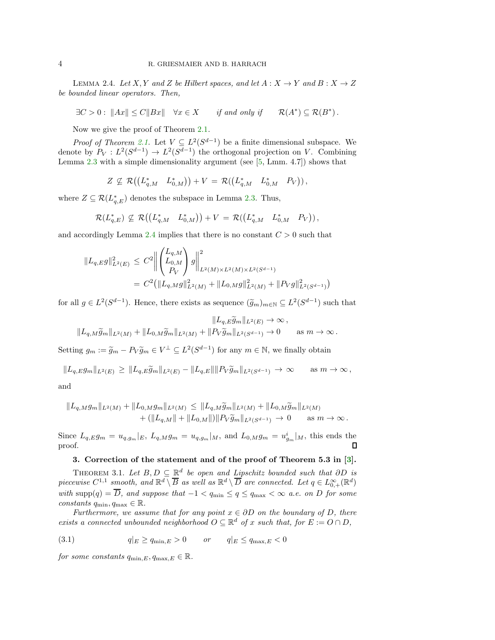LEMMA 2.4. Let X, Y and Z be Hilbert spaces, and let  $A: X \to Y$  and  $B: X \to Z$ be bounded linear operators. Then,

 $\exists C > 0 : \|Ax\| \leq C\|Bx\|$   $\forall x \in X$  if and only if \*)  $\subseteq$   $\mathcal{R}(B^*)$ .

Now we give the proof of Theorem [2.1.](#page-0-1)

*Proof of Theorem [2.1.](#page-0-1)* Let  $V \subseteq L^2(S^{d-1})$  be a finite dimensional subspace. We denote by  $P_V: L^2(S^{d-1}) \to L^2(S^{d-1})$  the orthogonal projection on V. Combining Lemma [2.3](#page-1-1) with a simple dimensionality argument (see [\[5,](#page-5-7) Lmm. 4.7]) shows that

$$
Z \nsubseteq \mathcal{R}((L_{q,M}^* \quad L_{0,M}^*)) + V = \mathcal{R}((L_{q,M}^* \quad L_{0,M}^* \quad P_V)),
$$

where  $Z \subseteq \mathcal{R}(L_{q,E}^*)$  denotes the subspace in Lemma [2.3.](#page-1-1) Thus,

$$
\mathcal{R}(L_{q,E}^*) \nsubseteq \mathcal{R}((L_{q,M}^* \quad L_{0,M}^*)) + V = \mathcal{R}((L_{q,M}^* \quad L_{0,M}^* \quad P_V)),
$$

and accordingly Lemma [2.4](#page-2-1) implies that there is no constant  $C > 0$  such that

$$
||L_{q,E}g||_{L^{2}(E)}^{2} \leq C^{2} \left\| \begin{pmatrix} L_{q,M} \\ L_{0,M} \\ P_{V} \end{pmatrix} g \right\|_{L^{2}(M) \times L^{2}(M) \times L^{2}(S^{d-1})}^{2}
$$
  
=  $C^{2} (\|L_{q,M}g\|_{L^{2}(M)}^{2} + \|L_{0,M}g\|_{L^{2}(M)}^{2} + \|P_{V}g\|_{L^{2}(S^{d-1})}^{2})$ 

for all  $g \in L^2(S^{d-1})$ . Hence, there exists as sequence  $(\widetilde{g}_m)_{m \in \mathbb{N}} \subseteq L^2(S^{d-1})$  such that

 $\|L_{q,E}\widetilde{g}_m\|_{L^2(E)}\to\infty$ ,  $||L_{q,M}\widetilde{g}_m||_{L^2(M)} + ||L_{0,M}\widetilde{g}_m||_{L^2(M)} + ||P_V\widetilde{g}_m||_{L^2(S^{d-1})} \to 0$  as  $m \to \infty$ .

Setting  $g_m := \tilde{g}_m - P_V \tilde{g}_m \in V^{\perp} \subseteq L^2(S^{d-1})$  for any  $m \in \mathbb{N}$ , we finally obtain

 $||L_{q,E}g_m||_{L^2(E)} \geq ||L_{q,E}\tilde{g}_m||_{L^2(E)} - ||L_{q,E}|| ||P_V\tilde{g}_m||_{L^2(S^{d-1})} \to \infty \quad \text{as } m \to \infty,$ 

and

$$
||L_{q,M}g_m||_{L^2(M)} + ||L_{0,M}g_m||_{L^2(M)} \le ||L_{q,M}\widetilde{g}_m||_{L^2(M)} + ||L_{0,M}\widetilde{g}_m||_{L^2(M)} + (||L_{q,M}|| + ||L_{0,M}||)||P_V\widetilde{g}_m||_{L^2(S^{d-1})} \to 0 \quad \text{as } m \to \infty.
$$

<span id="page-3-0"></span>Since  $L_{q,E}g_m = u_{q,g_m}|_E$ ,  $L_{q,M}g_m = u_{q,g_m}|_M$ , and  $L_{0,M}g_m = u_{g_m}^i|_M$ , this ends the proof. П

## 3. Correction of the statement and of the proof of Theorem 5.3 in [\[3\]](#page-5-0).

THEOREM 3.1. Let  $B, D \subseteq \mathbb{R}^d$  be open and Lipschitz bounded such that  $\partial D$  is piecewise  $C^{1,1}$  smooth, and  $\mathbb{R}^d \setminus \overline{B}$  as well as  $\mathbb{R}^d \setminus \overline{D}$  are connected. Let  $q \in L_{0,+}^{\infty}(\mathbb{R}^d)$ with  $\text{supp}(q) = \overline{D}$ , and suppose that  $-1 < q_{\text{min}} \le q \le q_{\text{max}} < \infty$  a.e. on D for some constants  $q_{\min}, q_{\max} \in \mathbb{R}$ .

Furthermore, we assume that for any point  $x \in \partial D$  on the boundary of D, there exists a connected unbounded neighborhood  $O \subseteq \mathbb{R}^d$  of x such that, for  $E := O \cap D$ ,

<span id="page-3-1"></span>
$$
(3.1) \t q|_E \ge q_{\min,E} > 0 \t or \t q|_E \le q_{\max,E} < 0
$$

for some constants  $q_{\min,E}, q_{\max,E} \in \mathbb{R}$ .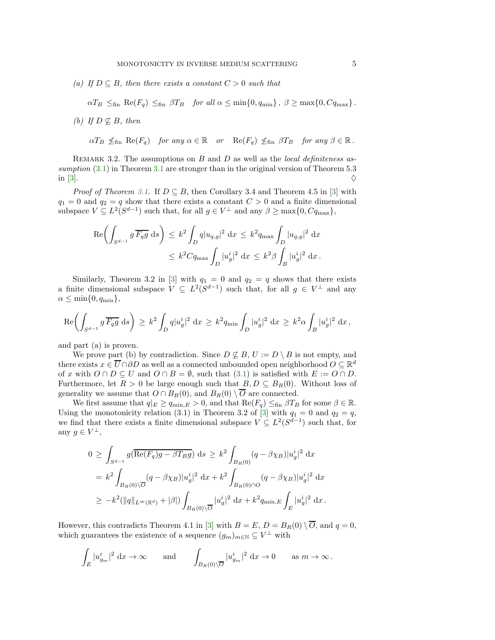(a) If  $D \subseteq B$ , then there exists a constant  $C > 0$  such that

 $\alpha T_B \leq_{\text{fin}} \text{Re}(F_q) \leq_{\text{fin}} \beta T_B$  for all  $\alpha \leq \min\{0, q_{\min}\}, \ \beta \geq \max\{0, Cq_{\max}\}.$ 

- (b) If  $D \not\subseteq B$ , then
	- $\alpha T_B \nleq_{fin} \text{Re}(F_q)$  for any  $\alpha \in \mathbb{R}$  or  $\text{Re}(F_q) \nleq_{fin} \beta T_B$  for any  $\beta \in \mathbb{R}$ .

REMARK 3.2. The assumptions on  $B$  and  $D$  as well as the *local definiteness as*sumption  $(3.1)$  in Theorem [3.1](#page-3-0) are stronger than in the original version of Theorem 5.3 in [\[3\]](#page-5-0).

*Proof of Theorem [3.1.](#page-3-0)* If  $D \subseteq B$ , then Corollary 3.4 and Theorem 4.5 in [\[3\]](#page-5-0) with  $q_1 = 0$  and  $q_2 = q$  show that there exists a constant  $C > 0$  and a finite dimensional subspace  $V \subseteq L^2(S^{d-1})$  such that, for all  $g \in V^{\perp}$  and any  $\beta \ge \max\{0, Cq_{\max}\},$ 

$$
\operatorname{Re}\left(\int_{S^{d-1}} g\,\overline{F_qg} \,ds\right) \leq k^2 \int_D q|u_{q,g}|^2 \,dx \leq k^2 q_{\text{max}} \int_D |u_{q,g}|^2 \,dx
$$
  

$$
\leq k^2 C q_{\text{max}} \int_D |u_g^i|^2 \,dx \leq k^2 \beta \int_B |u_g^i|^2 \,dx.
$$

Similarly, Theorem 3.2 in [\[3\]](#page-5-0) with  $q_1 = 0$  and  $q_2 = q$  shows that there exists a finite dimensional subspace  $V \subseteq L^2(S^{d-1})$  such that, for all  $g \in V^{\perp}$  and any  $\alpha \leq \min\{0, q_{\min}\},\$ 

$$
\mathrm{Re}\biggl(\int_{S^{d-1}} g\,\overline{F_qg}\; \mathrm{d} s\biggr) \,\geq\, k^2 \int_{D} q|u_g^i|^2\; \mathrm{d} x \,\geq\, k^2 q_{\text{min}} \int_{D} |u_g^i|^2\; \mathrm{d} x \,\geq\, k^2 \alpha \int_{B} |u_g^i|^2\; \mathrm{d} x\,,
$$

and part (a) is proven.

We prove part (b) by contradiction. Since  $D \not\subseteq B$ ,  $U := D \setminus B$  is not empty, and there exists  $x \in \overline{U} \cap \partial D$  as well as a connected unbounded open neighborhood  $O \subseteq \mathbb{R}^d$ of x with  $O \cap D \subseteq U$  and  $O \cap B = \emptyset$ , such that [\(3.1\)](#page-3-1) is satisfied with  $E := O \cap D$ . Furthermore, let  $R > 0$  be large enough such that  $B, D \subseteq B_R(0)$ . Without loss of generality we assume that  $O \cap B_R(0)$ , and  $B_R(0) \setminus \overline{O}$  are connected.

We first assume that  $q|_E \ge q_{\min,E} > 0$ , and that  $\text{Re}(F_q) \le_{\text{fin}} \beta T_B$  for some  $\beta \in \mathbb{R}$ . Using the monotonicity relation (3.1) in Theorem 3.2 of [\[3\]](#page-5-0) with  $q_1 = 0$  and  $q_2 = q$ , we find that there exists a finite dimensional subspace  $V \subseteq L^2(S^{d-1})$  such that, for any  $g \in V^{\perp}$ ,

$$
0 \geq \int_{S^{d-1}} g(\overline{\text{Re}(F_q)g} - \beta T_B g) ds \geq k^2 \int_{B_R(0)} (q - \beta \chi_B) |u_g^i|^2 dx
$$
  
=  $k^2 \int_{B_R(0) \setminus \overline{O}} (q - \beta \chi_B) |u_g^i|^2 dx + k^2 \int_{B_R(0) \cap O} (q - \beta \chi_B) |u_g^i|^2 dx$   
 $\geq -k^2 (||q||_{L^{\infty}(\mathbb{R}^d)} + |\beta|) \int_{B_R(0) \setminus \overline{O}} |u_g^i|^2 dx + k^2 q_{\min, E} \int_E |u_g^i|^2 dx.$ 

However, this contradicts Theorem 4.1 in [\[3\]](#page-5-0) with  $B = E$ ,  $D = B_R(0) \setminus \overline{O}$ , and  $q = 0$ , which guarantees the existence of a sequence  $(g_m)_{m \in \mathbb{N}} \subseteq V^{\perp}$  with

$$
\int_E |u^i_{g_m}|^2 \, \mathrm{d}x \to \infty \qquad \text{and} \qquad \int_{B_R(0)\setminus \overline{O}} |u^i_{g_m}|^2 \, \mathrm{d}x \to 0 \qquad \text{as } m \to \infty \, .
$$